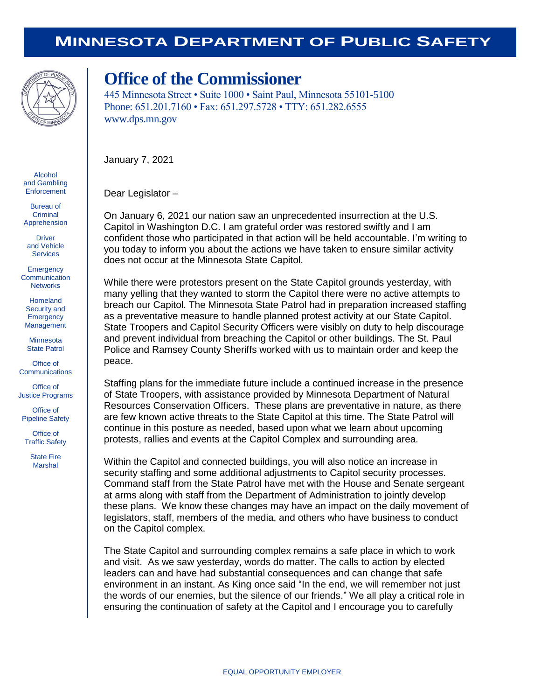## **MINNESOTA DEPARTMENT OF PUBLIC SAFETY**



## **Office of the Commissioner**

445 Minnesota Street • Suite 1000 • Saint Paul, Minnesota 55101-5100 Phone: 651.201.7160 • Fax: 651.297.5728 • TTY: 651.282.6555 www.dps.mn.gov

January 7, 2021

Dear Legislator –

On January 6, 2021 our nation saw an unprecedented insurrection at the U.S. Capitol in Washington D.C. I am grateful order was restored swiftly and I am confident those who participated in that action will be held accountable. I'm writing to you today to inform you about the actions we have taken to ensure similar activity does not occur at the Minnesota State Capitol.

While there were protestors present on the State Capitol grounds yesterday, with many yelling that they wanted to storm the Capitol there were no active attempts to breach our Capitol. The Minnesota State Patrol had in preparation increased staffing as a preventative measure to handle planned protest activity at our State Capitol. State Troopers and Capitol Security Officers were visibly on duty to help discourage and prevent individual from breaching the Capitol or other buildings. The St. Paul Police and Ramsey County Sheriffs worked with us to maintain order and keep the peace.

Staffing plans for the immediate future include a continued increase in the presence of State Troopers, with assistance provided by Minnesota Department of Natural Resources Conservation Officers. These plans are preventative in nature, as there are few known active threats to the State Capitol at this time. The State Patrol will continue in this posture as needed, based upon what we learn about upcoming protests, rallies and events at the Capitol Complex and surrounding area.

Within the Capitol and connected buildings, you will also notice an increase in security staffing and some additional adjustments to Capitol security processes. Command staff from the State Patrol have met with the House and Senate sergeant at arms along with staff from the Department of Administration to jointly develop these plans. We know these changes may have an impact on the daily movement of legislators, staff, members of the media, and others who have business to conduct on the Capitol complex.

The State Capitol and surrounding complex remains a safe place in which to work and visit. As we saw yesterday, words do matter. The calls to action by elected leaders can and have had substantial consequences and can change that safe environment in an instant. As King once said "In the end, we will remember not just the words of our enemies, but the silence of our friends." We all play a critical role in ensuring the continuation of safety at the Capitol and I encourage you to carefully

Alcohol and Gambling **Enforcement** 

Bureau of **Criminal** Apprehension

**Driver** and Vehicle **Services** 

**Emergency Communication Networks** 

Homeland Security and **Emergency** Management

Minnesota State Patrol

Office of **Communications** 

Office of Justice Programs

Office of Pipeline Safety

Office of Traffic Safety

> State Fire Marshal